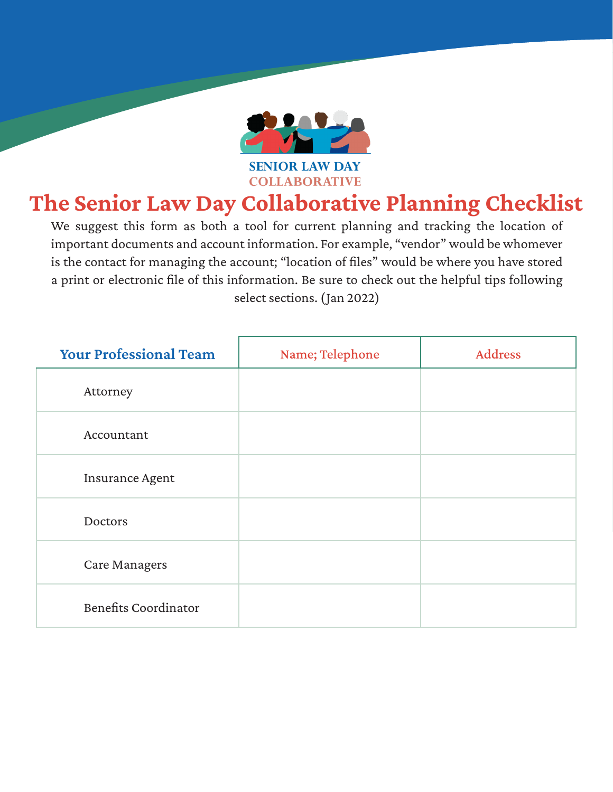

## The Senior Law Day Collaborative Planning Checklist

We suggest this form as both a tool for current planning and tracking the location of important documents and account information. For example, "vendor" would be whomever is the contact for managing the account; "location of files" would be where you have stored a print or electronic file of this information. Be sure to check out the helpful tips following select sections. (Jan 2022)

| <b>Your Professional Team</b> | Name; Telephone | <b>Address</b> |
|-------------------------------|-----------------|----------------|
| Attorney                      |                 |                |
| Accountant                    |                 |                |
| <b>Insurance Agent</b>        |                 |                |
| Doctors                       |                 |                |
| <b>Care Managers</b>          |                 |                |
| <b>Benefits Coordinator</b>   |                 |                |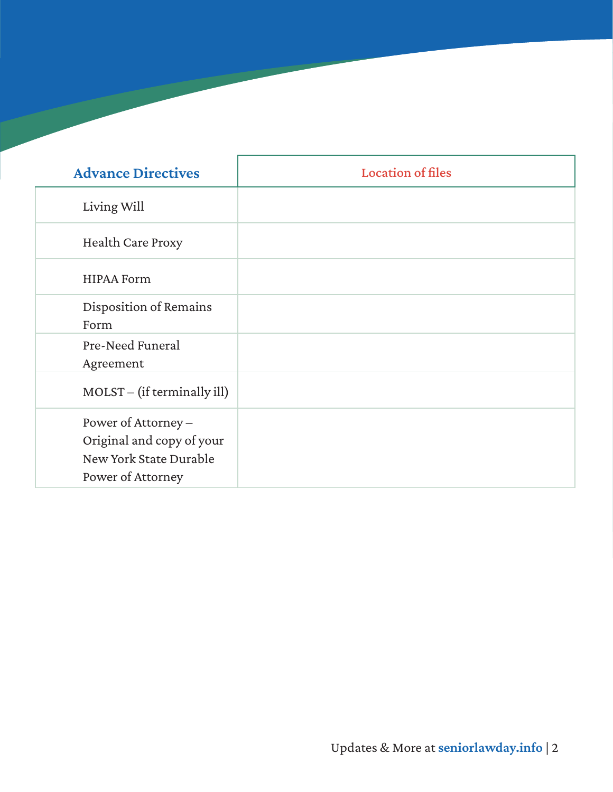| <b>Advance Directives</b>                                                                       | <b>Location of files</b> |
|-------------------------------------------------------------------------------------------------|--------------------------|
| Living Will                                                                                     |                          |
| <b>Health Care Proxy</b>                                                                        |                          |
| <b>HIPAA Form</b>                                                                               |                          |
| Disposition of Remains<br>Form                                                                  |                          |
| Pre-Need Funeral<br>Agreement                                                                   |                          |
| $MOLST - (if terminally ill)$                                                                   |                          |
| Power of Attorney -<br>Original and copy of your<br>New York State Durable<br>Power of Attorney |                          |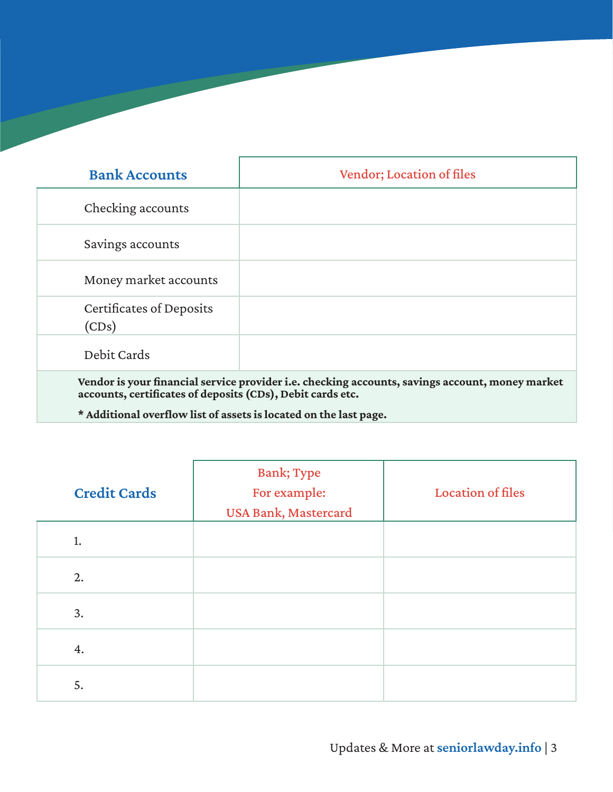| <b>Bank Accounts</b>                                                                                                                                          | <b>Vendor</b> ; Location of files |  |
|---------------------------------------------------------------------------------------------------------------------------------------------------------------|-----------------------------------|--|
| Checking accounts                                                                                                                                             |                                   |  |
| Savings accounts                                                                                                                                              |                                   |  |
| Money market accounts                                                                                                                                         |                                   |  |
| Certificates of Deposits<br>(CDs)                                                                                                                             |                                   |  |
| Debit Cards                                                                                                                                                   |                                   |  |
| Vendor is your financial service provider i.e. checking accounts, savings account, money market<br>accounts, certificates of deposits (CDs), Debit cards etc. |                                   |  |

\* Additional overflow list of assets is located on the last page.

| <b>Credit Cards</b> | <b>Bank; Type</b><br>For example:<br><b>USA Bank, Mastercard</b> | <b>Location of files</b> |
|---------------------|------------------------------------------------------------------|--------------------------|
| 1.                  |                                                                  |                          |
| 2.                  |                                                                  |                          |
| 3.                  |                                                                  |                          |
| 4.                  |                                                                  |                          |
| 5.                  |                                                                  |                          |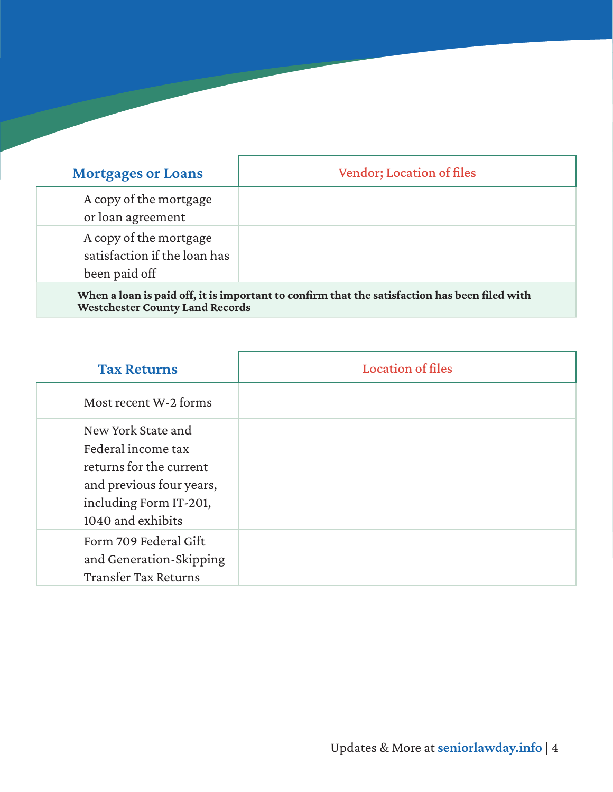| <b>Mortgages or Loans</b>                                                                     | <b>Vendor; Location of files</b> |  |
|-----------------------------------------------------------------------------------------------|----------------------------------|--|
| A copy of the mortgage<br>or loan agreement                                                   |                                  |  |
| A copy of the mortgage<br>satisfaction if the loan has<br>been paid off                       |                                  |  |
| When a loan is paid off, it is important to confirm that the satisfaction has been filed with |                                  |  |

Westchester County Land Records

| <b>Tax Returns</b>                                                                                                                             | <b>Location of files</b> |
|------------------------------------------------------------------------------------------------------------------------------------------------|--------------------------|
| Most recent W-2 forms                                                                                                                          |                          |
| New York State and<br>Federal income tax<br>returns for the current<br>and previous four years,<br>including Form IT-201,<br>1040 and exhibits |                          |
| Form 709 Federal Gift<br>and Generation-Skipping<br><b>Transfer Tax Returns</b>                                                                |                          |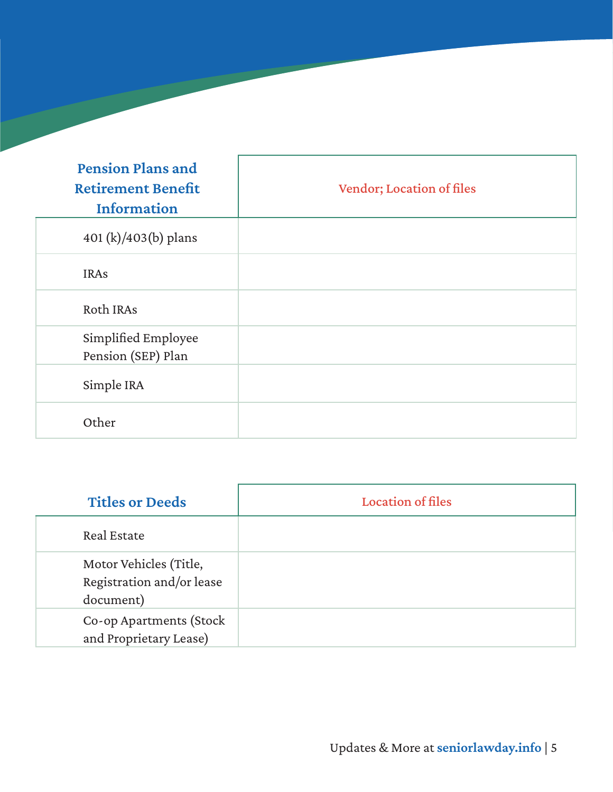| <b>Pension Plans and</b><br><b>Retirement Benefit</b><br>Information | Vendor; Location of files |
|----------------------------------------------------------------------|---------------------------|
| 401 $(k)/403(b)$ plans                                               |                           |
| <b>IRAs</b>                                                          |                           |
| Roth IRAs                                                            |                           |
| Simplified Employee<br>Pension (SEP) Plan                            |                           |
| Simple IRA                                                           |                           |
| Other                                                                |                           |

| <b>Titles or Deeds</b>                                           | <b>Location of files</b> |
|------------------------------------------------------------------|--------------------------|
| Real Estate                                                      |                          |
| Motor Vehicles (Title,<br>Registration and/or lease<br>document) |                          |
| Co-op Apartments (Stock<br>and Proprietary Lease)                |                          |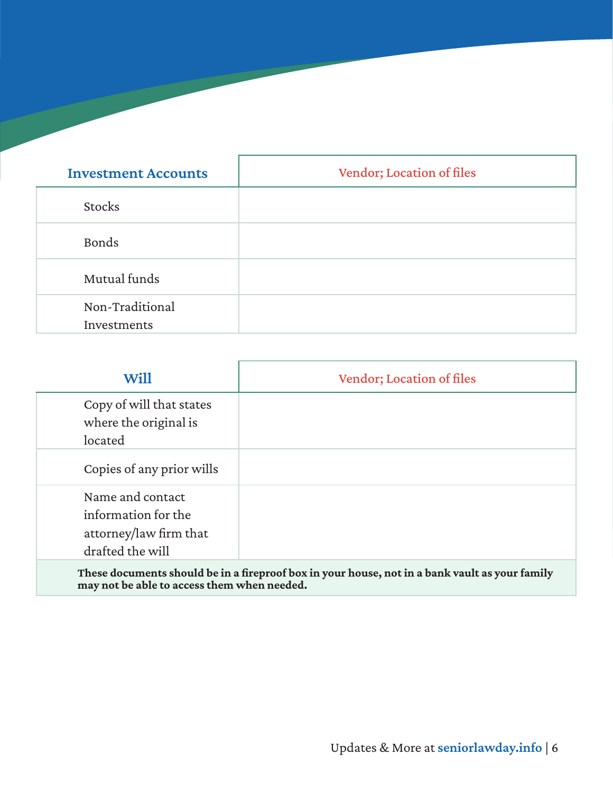| <b>Investment Accounts</b>     | Vendor; Location of files |
|--------------------------------|---------------------------|
| <b>Stocks</b>                  |                           |
| Bonds                          |                           |
| Mutual funds                   |                           |
| Non-Traditional<br>Investments |                           |

| <b>Will</b>                                                                                    | <b>Vendor</b> ; Location of files |
|------------------------------------------------------------------------------------------------|-----------------------------------|
| Copy of will that states<br>where the original is<br>located                                   |                                   |
| Copies of any prior wills                                                                      |                                   |
| Name and contact<br>information for the<br>attorney/law firm that<br>drafted the will          |                                   |
| These documents should be in a fireproof box in your house, not in a bank vault as your family |                                   |

may not be able to access them when needed.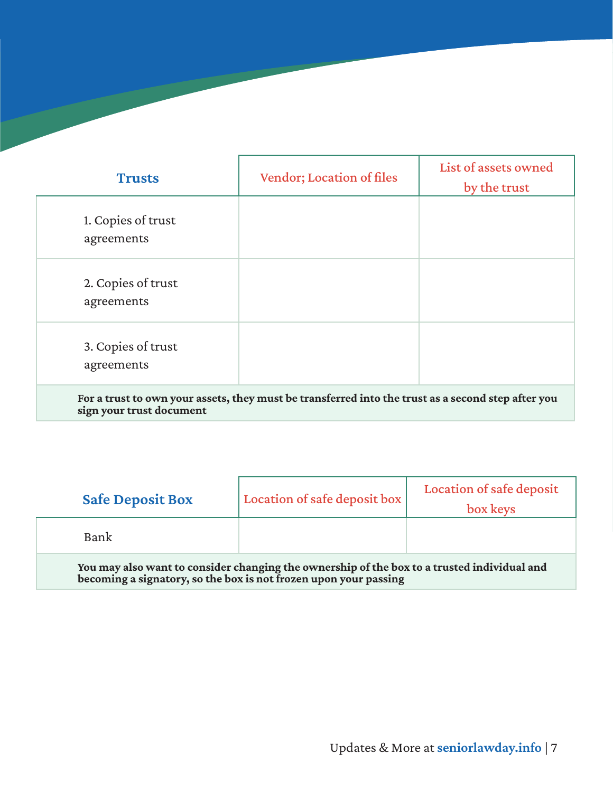| <b>Trusts</b>                    | <b>Vendor; Location of files</b> | List of assets owned<br>by the trust |
|----------------------------------|----------------------------------|--------------------------------------|
| 1. Copies of trust<br>agreements |                                  |                                      |
| 2. Copies of trust<br>agreements |                                  |                                      |
| 3. Copies of trust<br>agreements |                                  |                                      |

For a trust to own your assets, they must be transferred into the trust as a second step after you sign your trust document

| <b>Safe Deposit Box</b>                                                                                                                                         | Location of safe deposit box | Location of safe deposit<br>box keys |
|-----------------------------------------------------------------------------------------------------------------------------------------------------------------|------------------------------|--------------------------------------|
| Bank                                                                                                                                                            |                              |                                      |
| You may also want to consider changing the ownership of the box to a trusted individual and<br>becoming a signatory, so the box is not frozen upon your passing |                              |                                      |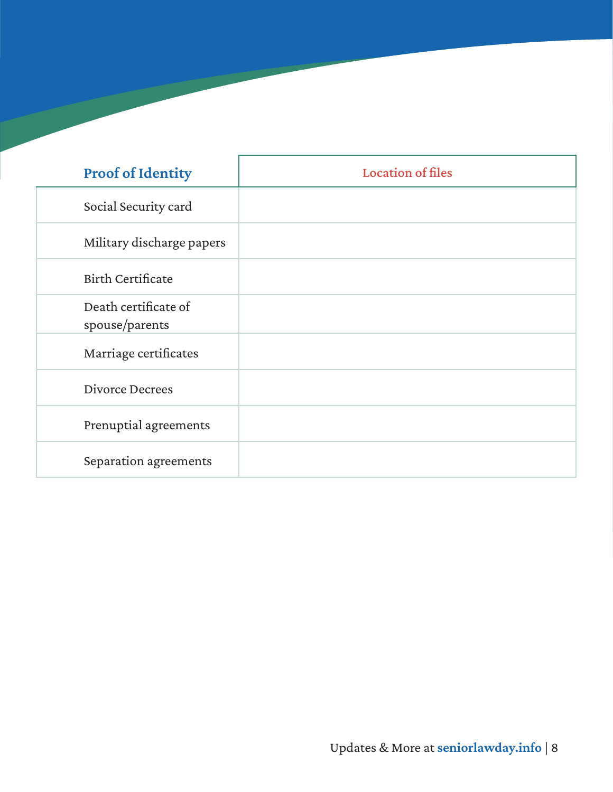| <b>Proof of Identity</b>               | <b>Location of files</b> |
|----------------------------------------|--------------------------|
| Social Security card                   |                          |
| Military discharge papers              |                          |
| <b>Birth Certificate</b>               |                          |
| Death certificate of<br>spouse/parents |                          |
| Marriage certificates                  |                          |
| Divorce Decrees                        |                          |
| Prenuptial agreements                  |                          |
| Separation agreements                  |                          |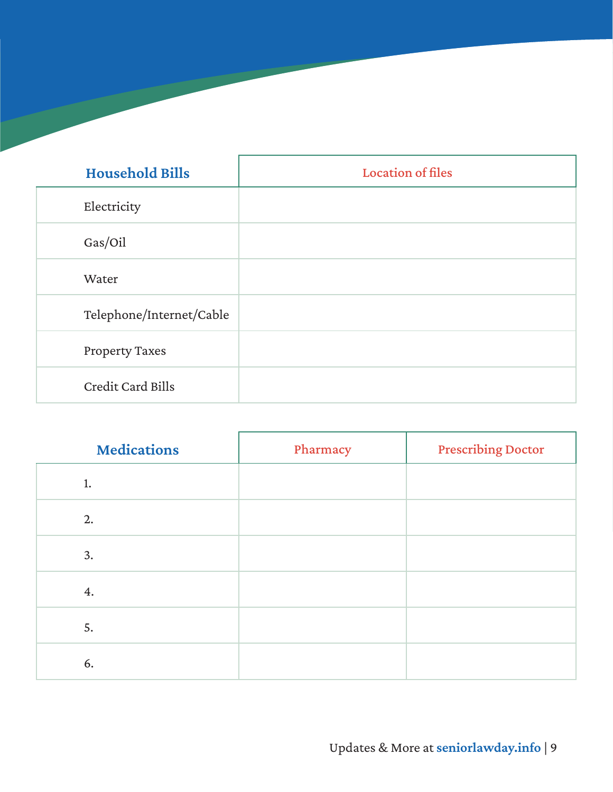| <b>Household Bills</b>   | <b>Location of files</b> |
|--------------------------|--------------------------|
| Electricity              |                          |
| Gas/Oil                  |                          |
| Water                    |                          |
| Telephone/Internet/Cable |                          |
| <b>Property Taxes</b>    |                          |
| Credit Card Bills        |                          |

| <b>Medications</b> | Pharmacy | <b>Prescribing Doctor</b> |
|--------------------|----------|---------------------------|
| 1.                 |          |                           |
| 2.                 |          |                           |
| 3.                 |          |                           |
| 4.                 |          |                           |
| 5.                 |          |                           |
| 6.                 |          |                           |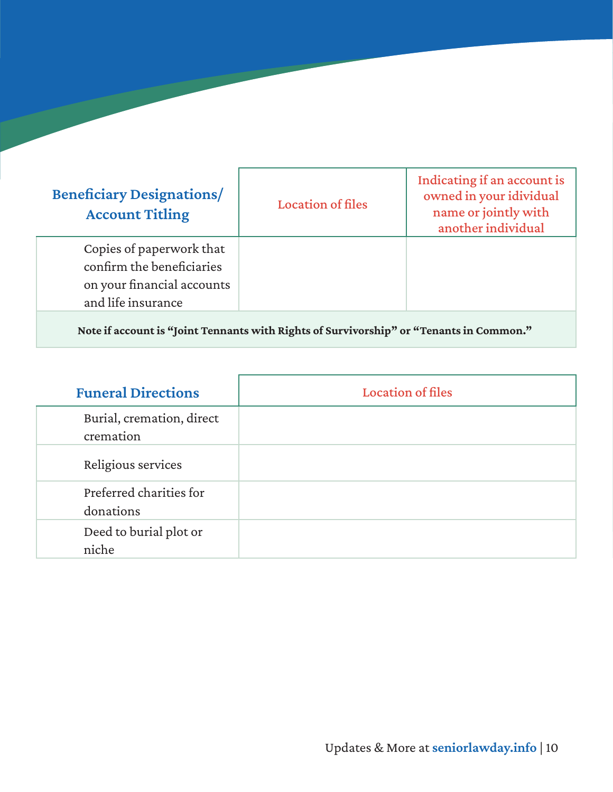| <b>Beneficiary Designations/</b><br><b>Account Titling</b>                                                | <b>Location of files</b> | Indicating if an account is<br>owned in your idividual<br>name or jointly with<br>another individual |
|-----------------------------------------------------------------------------------------------------------|--------------------------|------------------------------------------------------------------------------------------------------|
| Copies of paperwork that<br>confirm the beneficiaries<br>on your financial accounts<br>and life insurance |                          |                                                                                                      |

Note if account is "Joint Tennants with Rights of Survivorship" or "Tenants in Common."

| <b>Funeral Directions</b>              | <b>Location of files</b> |
|----------------------------------------|--------------------------|
| Burial, cremation, direct<br>cremation |                          |
| Religious services                     |                          |
| Preferred charities for<br>donations   |                          |
| Deed to burial plot or<br>niche        |                          |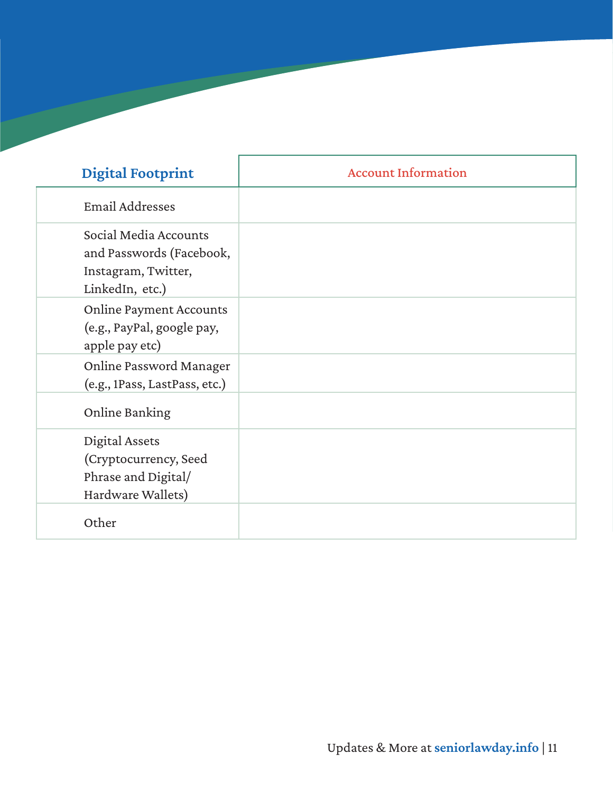| <b>Digital Footprint</b>                                                                    | <b>Account Information</b> |
|---------------------------------------------------------------------------------------------|----------------------------|
| <b>Email Addresses</b>                                                                      |                            |
| Social Media Accounts<br>and Passwords (Facebook,<br>Instagram, Twitter,<br>LinkedIn, etc.) |                            |
| <b>Online Payment Accounts</b><br>(e.g., PayPal, google pay,<br>apple pay etc)              |                            |
| Online Password Manager<br>(e.g., 1Pass, LastPass, etc.)                                    |                            |
| Online Banking                                                                              |                            |
| Digital Assets<br>(Cryptocurrency, Seed<br>Phrase and Digital/<br>Hardware Wallets)         |                            |
| Other                                                                                       |                            |